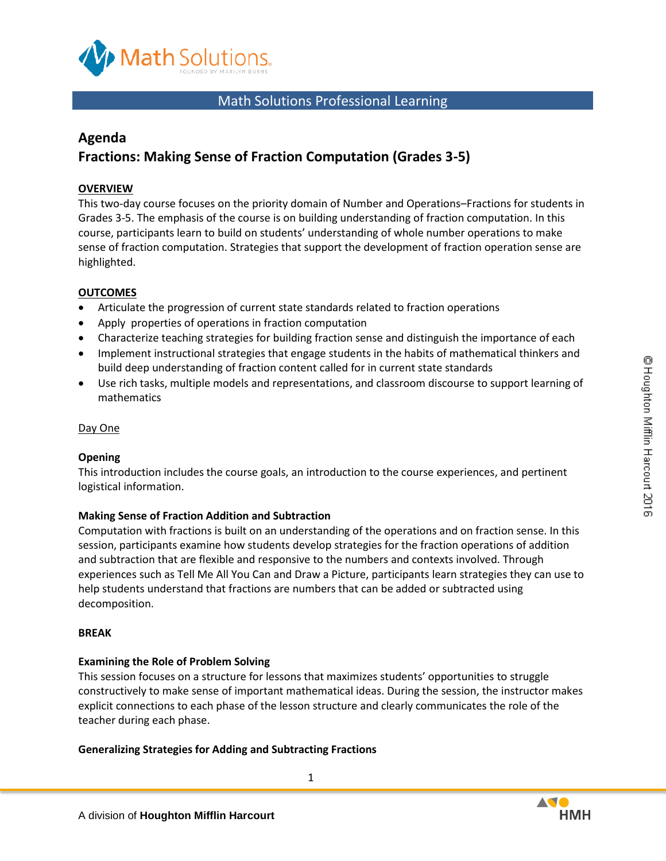

# Math Solutions Professional Learning

## **Agenda**

# **Fractions: Making Sense of Fraction Computation (Grades 3-5)**

## **OVERVIEW**

This two-day course focuses on the priority domain of Number and Operations–Fractions for students in Grades 3-5. The emphasis of the course is on building understanding of fraction computation. In this course, participants learn to build on students' understanding of whole number operations to make sense of fraction computation. Strategies that support the development of fraction operation sense are highlighted.

#### **OUTCOMES**

- Articulate the progression of current state standards related to fraction operations
- Apply properties of operations in fraction computation
- Characterize teaching strategies for building fraction sense and distinguish the importance of each
- Implement instructional strategies that engage students in the habits of mathematical thinkers and build deep understanding of fraction content called for in current state standards
- Use rich tasks, multiple models and representations, and classroom discourse to support learning of mathematics

#### Day One

#### **Opening**

This introduction includes the course goals, an introduction to the course experiences, and pertinent logistical information.

#### **Making Sense of Fraction Addition and Subtraction**

Computation with fractions is built on an understanding of the operations and on fraction sense. In this session, participants examine how students develop strategies for the fraction operations of addition and subtraction that are flexible and responsive to the numbers and contexts involved. Through experiences such as Tell Me All You Can and Draw a Picture, participants learn strategies they can use to help students understand that fractions are numbers that can be added or subtracted using decomposition.

#### **BREAK**

#### **Examining the Role of Problem Solving**

This session focuses on a structure for lessons that maximizes students' opportunities to struggle constructively to make sense of important mathematical ideas. During the session, the instructor makes explicit connections to each phase of the lesson structure and clearly communicates the role of the teacher during each phase.

1

#### **Generalizing Strategies for Adding and Subtracting Fractions**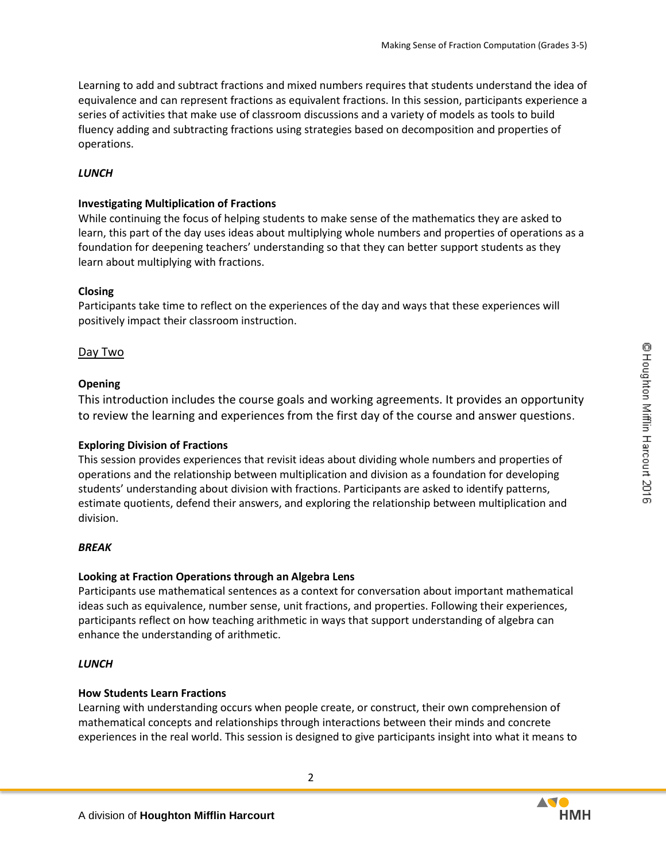Learning to add and subtract fractions and mixed numbers requires that students understand the idea of equivalence and can represent fractions as equivalent fractions. In this session, participants experience a series of activities that make use of classroom discussions and a variety of models as tools to build fluency adding and subtracting fractions using strategies based on decomposition and properties of operations.

## *LUNCH*

## **Investigating Multiplication of Fractions**

While continuing the focus of helping students to make sense of the mathematics they are asked to learn, this part of the day uses ideas about multiplying whole numbers and properties of operations as a foundation for deepening teachers' understanding so that they can better support students as they learn about multiplying with fractions.

## **Closing**

Participants take time to reflect on the experiences of the day and ways that these experiences will positively impact their classroom instruction.

## Day Two

## **Opening**

This introduction includes the course goals and working agreements. It provides an opportunity to review the learning and experiences from the first day of the course and answer questions.

## **Exploring Division of Fractions**

This session provides experiences that revisit ideas about dividing whole numbers and properties of operations and the relationship between multiplication and division as a foundation for developing students' understanding about division with fractions. Participants are asked to identify patterns, estimate quotients, defend their answers, and exploring the relationship between multiplication and division.

## *BREAK*

## **Looking at Fraction Operations through an Algebra Lens**

Participants use mathematical sentences as a context for conversation about important mathematical ideas such as equivalence, number sense, unit fractions, and properties. Following their experiences, participants reflect on how teaching arithmetic in ways that support understanding of algebra can enhance the understanding of arithmetic.

## *LUNCH*

## **How Students Learn Fractions**

Learning with understanding occurs when people create, or construct, their own comprehension of mathematical concepts and relationships through interactions between their minds and concrete experiences in the real world. This session is designed to give participants insight into what it means to